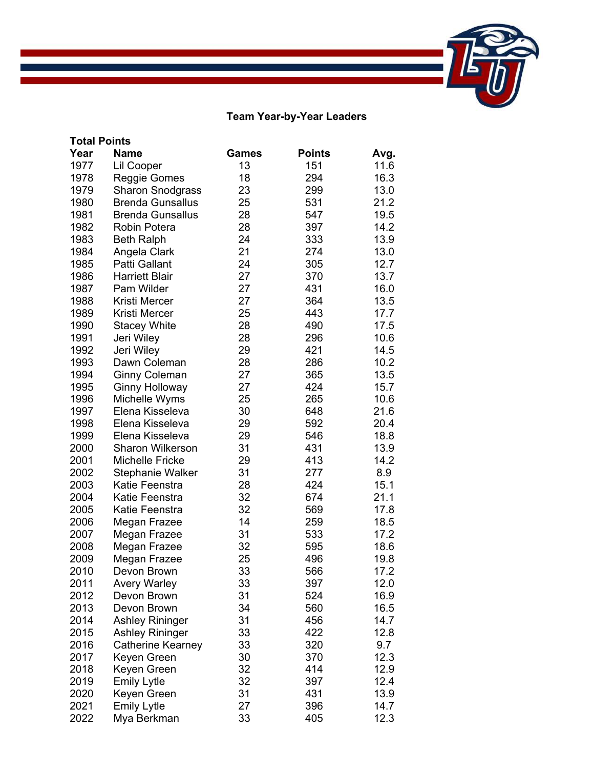## **Team Year-by-Year Leaders**

|      | <b>Total Points</b>     |              |               |      |
|------|-------------------------|--------------|---------------|------|
| Year | <b>Name</b>             | <b>Games</b> | <b>Points</b> | Avg. |
| 1977 | Lil Cooper              | 13           | 151           | 11.6 |
| 1978 | Reggie Gomes            | 18           | 294           | 16.3 |
| 1979 | <b>Sharon Snodgrass</b> | 23           | 299           | 13.0 |
| 1980 | <b>Brenda Gunsallus</b> | 25           | 531           | 21.2 |
| 1981 | <b>Brenda Gunsallus</b> | 28           | 547           | 19.5 |
| 1982 | <b>Robin Potera</b>     | 28           | 397           | 14.2 |
| 1983 | <b>Beth Ralph</b>       | 24           | 333           | 13.9 |
| 1984 | Angela Clark            | 21           | 274           | 13.0 |
| 1985 | Patti Gallant           | 24           | 305           | 12.7 |
| 1986 | <b>Harriett Blair</b>   | 27           | 370           | 13.7 |
| 1987 | Pam Wilder              | 27           | 431           | 16.0 |
| 1988 | Kristi Mercer           | 27           | 364           | 13.5 |
| 1989 | Kristi Mercer           | 25           | 443           | 17.7 |
| 1990 | <b>Stacey White</b>     | 28           | 490           | 17.5 |
| 1991 | Jeri Wiley              | 28           | 296           | 10.6 |
| 1992 | Jeri Wiley              | 29           | 421           | 14.5 |
| 1993 | Dawn Coleman            | 28           | 286           | 10.2 |
| 1994 | <b>Ginny Coleman</b>    | 27           | 365           | 13.5 |
| 1995 | <b>Ginny Holloway</b>   | 27           | 424           | 15.7 |
| 1996 | Michelle Wyms           | 25           | 265           | 10.6 |
| 1997 | Elena Kisseleva         | 30           | 648           | 21.6 |
| 1998 | Elena Kisseleva         | 29           | 592           | 20.4 |
| 1999 | Elena Kisseleva         | 29           | 546           | 18.8 |
| 2000 | <b>Sharon Wilkerson</b> | 31           | 431           | 13.9 |
| 2001 | <b>Michelle Fricke</b>  | 29           | 413           | 14.2 |
| 2002 | Stephanie Walker        | 31           | 277           | 8.9  |
| 2003 | Katie Feenstra          | 28           | 424           | 15.1 |
| 2004 | Katie Feenstra          | 32           | 674           | 21.1 |
| 2005 | Katie Feenstra          | 32           | 569           | 17.8 |
| 2006 | Megan Frazee            | 14           | 259           | 18.5 |
| 2007 | Megan Frazee            | 31           | 533           | 17.2 |
| 2008 | Megan Frazee            | 32           | 595           | 18.6 |
| 2009 | Megan Frazee            | 25           | 496           | 19.8 |
| 2010 | Devon Brown             | 33           | 566           | 17.2 |
| 2011 | <b>Avery Warley</b>     | 33           | 397           | 12.0 |
| 2012 | Devon Brown             | 31           | 524           | 16.9 |
| 2013 | Devon Brown             | 34           | 560           | 16.5 |
| 2014 | <b>Ashley Rininger</b>  | 31           | 456           | 14.7 |
| 2015 | <b>Ashley Rininger</b>  | 33           | 422           | 12.8 |
| 2016 | Catherine Kearney       | 33           | 320           | 9.7  |
| 2017 | Keyen Green             | 30           | 370           | 12.3 |
| 2018 | Keyen Green             | 32           | 414           | 12.9 |
| 2019 | <b>Emily Lytle</b>      | 32           | 397           | 12.4 |
| 2020 | Keyen Green             | 31           | 431           | 13.9 |
| 2021 | <b>Emily Lytle</b>      | 27           | 396           | 14.7 |
| 2022 | Mya Berkman             | 33           | 405           | 12.3 |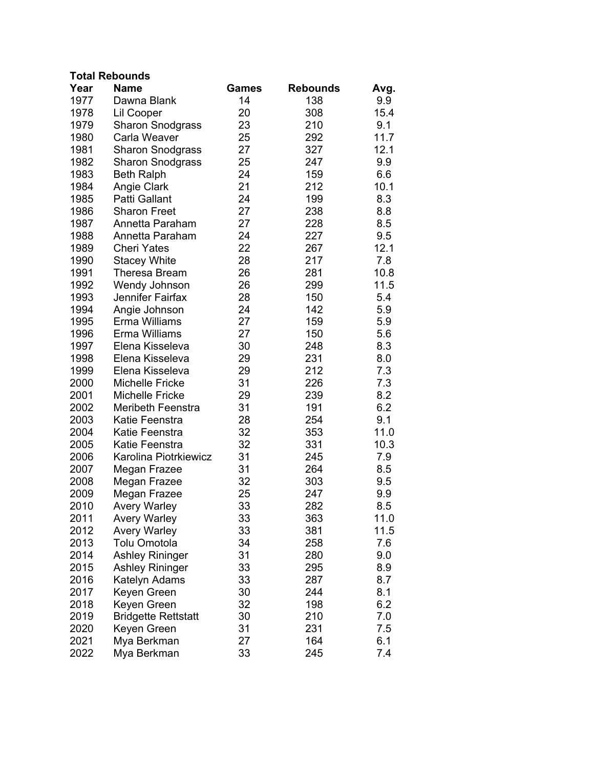| <b>Total Rebounds</b> |
|-----------------------|
|-----------------------|

| Year | <b>Name</b>                | Games | <b>Rebounds</b> | Avg. |
|------|----------------------------|-------|-----------------|------|
| 1977 | Dawna Blank                | 14    | 138             | 9.9  |
| 1978 | Lil Cooper                 | 20    | 308             | 15.4 |
| 1979 | <b>Sharon Snodgrass</b>    | 23    | 210             | 9.1  |
| 1980 | Carla Weaver               | 25    | 292             | 11.7 |
| 1981 | <b>Sharon Snodgrass</b>    | 27    | 327             | 12.1 |
| 1982 | <b>Sharon Snodgrass</b>    | 25    | 247             | 9.9  |
| 1983 | <b>Beth Ralph</b>          | 24    | 159             | 6.6  |
| 1984 | Angie Clark                | 21    | 212             | 10.1 |
| 1985 | Patti Gallant              | 24    | 199             | 8.3  |
| 1986 | <b>Sharon Freet</b>        | 27    | 238             | 8.8  |
| 1987 | Annetta Paraham            | 27    | 228             | 8.5  |
| 1988 | Annetta Paraham            | 24    | 227             | 9.5  |
| 1989 | <b>Cheri Yates</b>         | 22    | 267             | 12.1 |
| 1990 | <b>Stacey White</b>        | 28    | 217             | 7.8  |
| 1991 | <b>Theresa Bream</b>       | 26    | 281             | 10.8 |
| 1992 | Wendy Johnson              | 26    | 299             | 11.5 |
| 1993 | Jennifer Fairfax           | 28    | 150             | 5.4  |
| 1994 | Angie Johnson              | 24    | 142             | 5.9  |
| 1995 | Erma Williams              | 27    | 159             | 5.9  |
| 1996 | Erma Williams              | 27    | 150             | 5.6  |
| 1997 | Elena Kisseleva            | 30    | 248             | 8.3  |
| 1998 | Elena Kisseleva            | 29    | 231             | 8.0  |
| 1999 | Elena Kisseleva            | 29    | 212             | 7.3  |
| 2000 | <b>Michelle Fricke</b>     | 31    | 226             | 7.3  |
| 2001 | Michelle Fricke            | 29    | 239             | 8.2  |
| 2002 | <b>Meribeth Feenstra</b>   | 31    | 191             | 6.2  |
| 2003 | Katie Feenstra             | 28    | 254             | 9.1  |
| 2004 | Katie Feenstra             | 32    | 353             | 11.0 |
| 2005 | Katie Feenstra             | 32    | 331             | 10.3 |
| 2006 | Karolina Piotrkiewicz      | 31    | 245             | 7.9  |
| 2007 | Megan Frazee               | 31    | 264             | 8.5  |
| 2008 | Megan Frazee               | 32    | 303             | 9.5  |
| 2009 | Megan Frazee               | 25    | 247             | 9.9  |
| 2010 | <b>Avery Warley</b>        | 33    | 282             | 8.5  |
| 2011 | <b>Avery Warley</b>        | 33    | 363             | 11.0 |
| 2012 | <b>Avery Warley</b>        | 33    | 381             | 11.5 |
| 2013 | Tolu Omotola               | 34    | 258             | 7.6  |
| 2014 | <b>Ashley Rininger</b>     | 31    | 280             | 9.0  |
| 2015 | <b>Ashley Rininger</b>     | 33    | 295             | 8.9  |
| 2016 | Katelyn Adams              | 33    | 287             | 8.7  |
| 2017 | Keyen Green                | 30    | 244             | 8.1  |
| 2018 | Keyen Green                | 32    | 198             | 6.2  |
| 2019 | <b>Bridgette Rettstatt</b> | 30    | 210             | 7.0  |
| 2020 | Keyen Green                | 31    | 231             | 7.5  |
| 2021 | Mya Berkman                | 27    | 164             | 6.1  |
| 2022 | Mya Berkman                | 33    | 245             | 7.4  |
|      |                            |       |                 |      |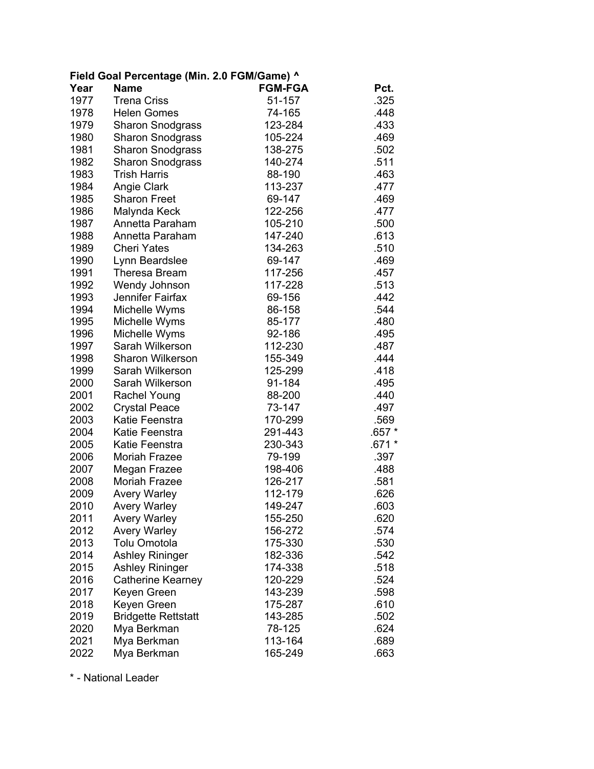| Field Goal Percentage (Min. 2.0 FGM/Game) ^ |                            |                |         |  |
|---------------------------------------------|----------------------------|----------------|---------|--|
| Year                                        | <b>Name</b>                | <b>FGM-FGA</b> | Pct.    |  |
| 1977                                        | <b>Trena Criss</b>         | 51-157         | .325    |  |
| 1978                                        | <b>Helen Gomes</b>         | 74-165         | .448    |  |
| 1979                                        | <b>Sharon Snodgrass</b>    | 123-284        | .433    |  |
| 1980                                        | <b>Sharon Snodgrass</b>    | 105-224        | .469    |  |
| 1981                                        | <b>Sharon Snodgrass</b>    | 138-275        | .502    |  |
| 1982                                        | <b>Sharon Snodgrass</b>    | 140-274        | .511    |  |
| 1983                                        | <b>Trish Harris</b>        | 88-190         | .463    |  |
| 1984                                        | Angie Clark                | 113-237        | .477    |  |
| 1985                                        | <b>Sharon Freet</b>        | 69-147         | .469    |  |
| 1986                                        | Malynda Keck               | 122-256        | .477    |  |
| 1987                                        | Annetta Paraham            | 105-210        | .500    |  |
| 1988                                        | Annetta Paraham            | 147-240        | .613    |  |
| 1989                                        | <b>Cheri Yates</b>         | 134-263        | .510    |  |
| 1990                                        | Lynn Beardslee             | 69-147         | .469    |  |
| 1991                                        | Theresa Bream              | 117-256        | .457    |  |
| 1992                                        | Wendy Johnson              | 117-228        | .513    |  |
| 1993                                        | Jennifer Fairfax           | 69-156         | .442    |  |
| 1994                                        | Michelle Wyms              | 86-158         | .544    |  |
| 1995                                        | Michelle Wyms              | 85-177         | .480    |  |
| 1996                                        | Michelle Wyms              | 92-186         | .495    |  |
| 1997                                        | Sarah Wilkerson            | 112-230        | .487    |  |
| 1998                                        | <b>Sharon Wilkerson</b>    | 155-349        | .444    |  |
| 1999                                        | Sarah Wilkerson            | 125-299        | .418    |  |
| 2000                                        | Sarah Wilkerson            | 91-184         | .495    |  |
| 2001                                        | <b>Rachel Young</b>        | 88-200         | .440    |  |
| 2002                                        | <b>Crystal Peace</b>       | 73-147         | .497    |  |
| 2003                                        | Katie Feenstra             | 170-299        | .569    |  |
| 2004                                        | Katie Feenstra             | 291-443        | .657 *  |  |
| 2005                                        | Katie Feenstra             | 230-343        | $.671*$ |  |
| 2006                                        | <b>Moriah Frazee</b>       | 79-199         | .397    |  |
| 2007                                        | Megan Frazee               | 198-406        | .488    |  |
| 2008                                        | Moriah Frazee              | 126-217        | .581    |  |
| 2009                                        | <b>Avery Warley</b>        | 112-179        | .626    |  |
| 2010                                        | <b>Avery Warley</b>        | 149-247        | .603    |  |
| 2011                                        | <b>Avery Warley</b>        | 155-250        | .620    |  |
| 2012                                        | <b>Avery Warley</b>        | 156-272        | .574    |  |
| 2013                                        | Tolu Omotola               | 175-330        | .530    |  |
| 2014                                        | <b>Ashley Rininger</b>     | 182-336        | .542    |  |
| 2015                                        | <b>Ashley Rininger</b>     | 174-338        | .518    |  |
| 2016                                        | Catherine Kearney          | 120-229        | .524    |  |
| 2017                                        | Keyen Green                | 143-239        | .598    |  |
| 2018                                        | Keyen Green                | 175-287        | .610    |  |
| 2019                                        | <b>Bridgette Rettstatt</b> | 143-285        | .502    |  |
| 2020                                        | Mya Berkman                | 78-125         | .624    |  |
| 2021                                        | Mya Berkman                | 113-164        | .689    |  |
| 2022                                        | Mya Berkman                | 165-249        | .663    |  |

\* - National Leader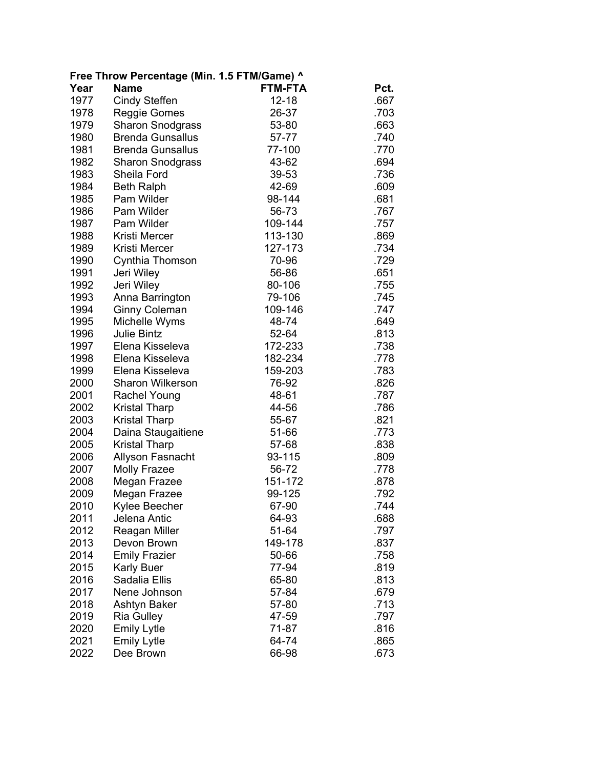| Free Throw Percentage (Min. 1.5 FTM/Game) ^ |                         |                |      |  |
|---------------------------------------------|-------------------------|----------------|------|--|
| Year                                        | <b>Name</b>             | <b>FTM-FTA</b> | Pct. |  |
| 1977                                        | <b>Cindy Steffen</b>    | $12 - 18$      | .667 |  |
| 1978                                        | Reggie Gomes            | 26-37          | .703 |  |
| 1979                                        | <b>Sharon Snodgrass</b> | 53-80          | .663 |  |
| 1980                                        | <b>Brenda Gunsallus</b> | 57-77          | .740 |  |
| 1981                                        | <b>Brenda Gunsallus</b> | 77-100         | .770 |  |
| 1982                                        | <b>Sharon Snodgrass</b> | 43-62          | .694 |  |
| 1983                                        | Sheila Ford             | 39-53          | .736 |  |
| 1984                                        | <b>Beth Ralph</b>       | 42-69          | .609 |  |
| 1985                                        | Pam Wilder              | 98-144         | .681 |  |
| 1986                                        | Pam Wilder              | 56-73          | .767 |  |
| 1987                                        | Pam Wilder              | 109-144        | .757 |  |
| 1988                                        | Kristi Mercer           | 113-130        | .869 |  |
| 1989                                        | Kristi Mercer           | 127-173        | .734 |  |
| 1990                                        | Cynthia Thomson         | 70-96          | .729 |  |
| 1991                                        | Jeri Wiley              | 56-86          | .651 |  |
| 1992                                        | Jeri Wiley              | 80-106         | .755 |  |
| 1993                                        | Anna Barrington         | 79-106         | .745 |  |
| 1994                                        | <b>Ginny Coleman</b>    | 109-146        | .747 |  |
| 1995                                        | Michelle Wyms           | 48-74          | .649 |  |
| 1996                                        | <b>Julie Bintz</b>      | 52-64          | .813 |  |
| 1997                                        | Elena Kisseleva         | 172-233        | .738 |  |
| 1998                                        | Elena Kisseleva         | 182-234        | .778 |  |
| 1999                                        | Elena Kisseleva         | 159-203        | .783 |  |
| 2000                                        | <b>Sharon Wilkerson</b> | 76-92          | .826 |  |
| 2001                                        | Rachel Young            | 48-61          | .787 |  |
| 2002                                        | <b>Kristal Tharp</b>    | 44-56          | .786 |  |
| 2003                                        | Kristal Tharp           | 55-67          | .821 |  |
| 2004                                        | Daina Staugaitiene      | 51-66          | .773 |  |
| 2005                                        | Kristal Tharp           | 57-68          | .838 |  |
| 2006                                        | Allyson Fasnacht        | 93-115         | .809 |  |
| 2007                                        | <b>Molly Frazee</b>     | 56-72          | .778 |  |
| 2008                                        | Megan Frazee            | 151-172        | .878 |  |
| 2009                                        | Megan Frazee            | 99-125         | .792 |  |
| 2010                                        | Kylee Beecher           | 67-90          | .744 |  |
| 2011                                        | Jelena Antic            | 64-93          | .688 |  |
| 2012                                        | Reagan Miller           | 51-64          | .797 |  |
| 2013                                        | Devon Brown             | 149-178        | .837 |  |
| 2014                                        | <b>Emily Frazier</b>    | 50-66          | .758 |  |
| 2015                                        | Karly Buer              | 77-94          | .819 |  |
| 2016                                        | Sadalia Ellis           | 65-80          | .813 |  |
| 2017                                        | Nene Johnson            | 57-84          | .679 |  |
| 2018                                        | <b>Ashtyn Baker</b>     | 57-80          | .713 |  |
| 2019                                        | <b>Ria Gulley</b>       | 47-59          | .797 |  |
| 2020                                        | <b>Emily Lytle</b>      | 71-87          | .816 |  |
| 2021                                        | Emily Lytle             | 64-74          | .865 |  |
| 2022                                        | Dee Brown               | 66-98          | .673 |  |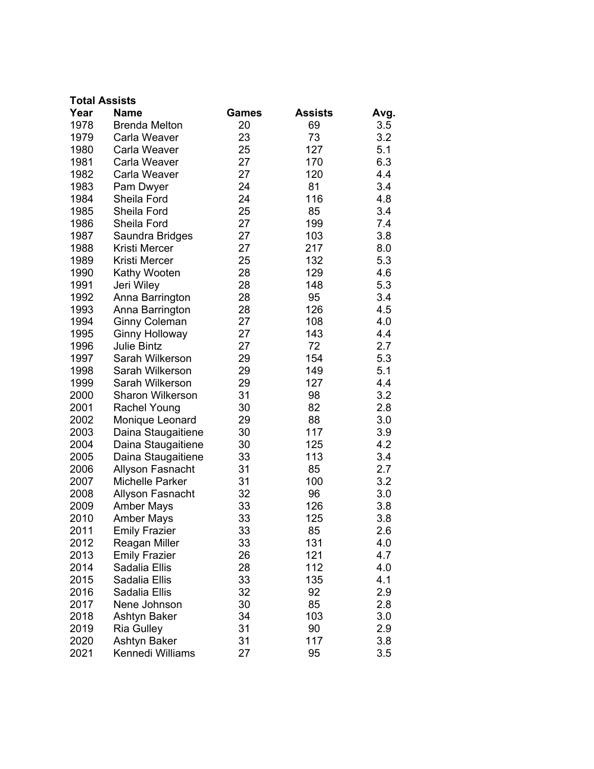|      | <b>Total Assists</b>    |              |                |      |
|------|-------------------------|--------------|----------------|------|
| Year | <b>Name</b>             | <b>Games</b> | <b>Assists</b> | Avg. |
| 1978 | <b>Brenda Melton</b>    | 20           | 69             | 3.5  |
| 1979 | Carla Weaver            | 23           | 73             | 3.2  |
| 1980 | Carla Weaver            | 25           | 127            | 5.1  |
| 1981 | Carla Weaver            | 27           | 170            | 6.3  |
| 1982 | Carla Weaver            | 27           | 120            | 4.4  |
| 1983 | Pam Dwyer               | 24           | 81             | 3.4  |
| 1984 | Sheila Ford             | 24           | 116            | 4.8  |
| 1985 | Sheila Ford             | 25           | 85             | 3.4  |
| 1986 | Sheila Ford             | 27           | 199            | 7.4  |
| 1987 | Saundra Bridges         | 27           | 103            | 3.8  |
| 1988 | Kristi Mercer           | 27           | 217            | 8.0  |
| 1989 | Kristi Mercer           | 25           | 132            | 5.3  |
| 1990 | Kathy Wooten            | 28           | 129            | 4.6  |
| 1991 | Jeri Wiley              | 28           | 148            | 5.3  |
| 1992 | Anna Barrington         | 28           | 95             | 3.4  |
| 1993 | Anna Barrington         | 28           | 126            | 4.5  |
| 1994 | <b>Ginny Coleman</b>    | 27           | 108            | 4.0  |
| 1995 | <b>Ginny Holloway</b>   | 27           | 143            | 4.4  |
| 1996 | <b>Julie Bintz</b>      | 27           | 72             | 2.7  |
| 1997 | Sarah Wilkerson         | 29           | 154            | 5.3  |
| 1998 | Sarah Wilkerson         | 29           | 149            | 5.1  |
| 1999 | Sarah Wilkerson         | 29           | 127            | 4.4  |
| 2000 | <b>Sharon Wilkerson</b> | 31           | 98             | 3.2  |
| 2001 | <b>Rachel Young</b>     | 30           | 82             | 2.8  |
| 2002 | Monique Leonard         | 29           | 88             | 3.0  |
| 2003 | Daina Staugaitiene      | 30           | 117            | 3.9  |
| 2004 | Daina Staugaitiene      | 30           | 125            | 4.2  |
| 2005 | Daina Staugaitiene      | 33           | 113            | 3.4  |
| 2006 | Allyson Fasnacht        | 31           | 85             | 2.7  |
| 2007 | <b>Michelle Parker</b>  | 31           | 100            | 3.2  |
| 2008 | Allyson Fasnacht        | 32           | 96             | 3.0  |
| 2009 | <b>Amber Mays</b>       | 33           | 126            | 3.8  |
| 2010 | <b>Amber Mays</b>       | 33           | 125            | 3.8  |
| 2011 | <b>Emily Frazier</b>    | 33           | 85             | 2.6  |
| 2012 | Reagan Miller           | 33           | 131            | 4.0  |
| 2013 | <b>Emily Frazier</b>    | 26           | 121            | 4.7  |
| 2014 | Sadalia Ellis           | 28           | 112            | 4.0  |
| 2015 | Sadalia Ellis           | 33           | 135            | 4.1  |
| 2016 | Sadalia Ellis           | 32           | 92             | 2.9  |
| 2017 | Nene Johnson            | 30           | 85             | 2.8  |
| 2018 | Ashtyn Baker            | 34           | 103            | 3.0  |
| 2019 | <b>Ria Gulley</b>       | 31           | 90             | 2.9  |
| 2020 | Ashtyn Baker            | 31           | 117            | 3.8  |
| 2021 | Kennedi Williams        | 27           | 95             | 3.5  |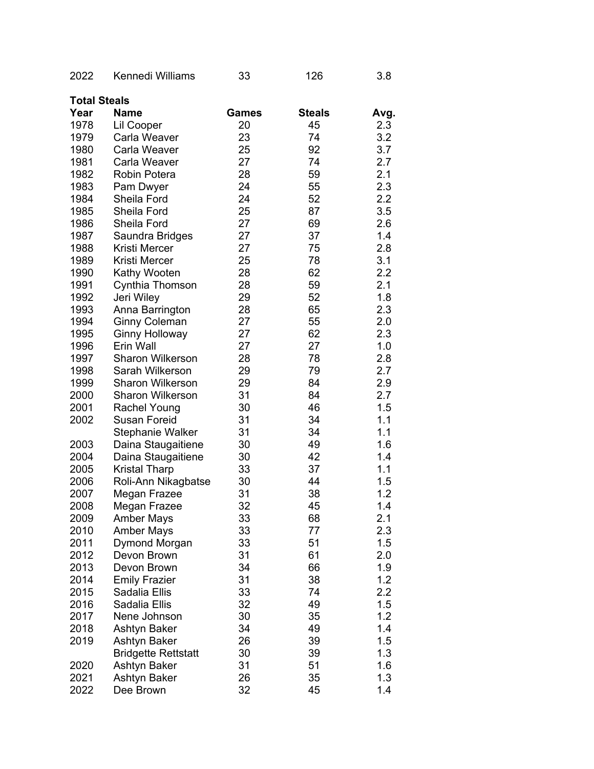| 2022                | Kennedi Williams           | 33    | 126           | 3.8     |
|---------------------|----------------------------|-------|---------------|---------|
| <b>Total Steals</b> |                            |       |               |         |
| Year                | <b>Name</b>                | Games | <b>Steals</b> | Avg.    |
| 1978                | Lil Cooper                 | 20    | 45            | 2.3     |
| 1979                | Carla Weaver               | 23    | 74            | 3.2     |
| 1980                | Carla Weaver               | 25    | 92            | 3.7     |
| 1981                | Carla Weaver               | 27    | 74            | 2.7     |
| 1982                | Robin Potera               | 28    | 59            | 2.1     |
| 1983                | Pam Dwyer                  | 24    | 55            | 2.3     |
| 1984                | Sheila Ford                | 24    | 52            | 2.2     |
| 1985                | Sheila Ford                | 25    | 87            | 3.5     |
| 1986                | Sheila Ford                | 27    | 69            | 2.6     |
| 1987                | Saundra Bridges            | 27    | 37            | 1.4     |
| 1988                | Kristi Mercer              | 27    | 75            | 2.8     |
| 1989                | Kristi Mercer              | 25    | 78            | 3.1     |
| 1990                | Kathy Wooten               | 28    | 62            | 2.2     |
| 1991                | Cynthia Thomson            | 28    | 59            | 2.1     |
| 1992                | Jeri Wiley                 | 29    | 52            | 1.8     |
| 1993                | Anna Barrington            | 28    | 65            | 2.3     |
| 1994                | <b>Ginny Coleman</b>       | 27    | 55            | 2.0     |
| 1995                | <b>Ginny Holloway</b>      | 27    | 62            | 2.3     |
| 1996                | Erin Wall                  | 27    | 27            | 1.0     |
| 1997                | <b>Sharon Wilkerson</b>    | 28    | 78            | 2.8     |
| 1998                | Sarah Wilkerson            | 29    | 79            | 2.7     |
| 1999                | <b>Sharon Wilkerson</b>    | 29    | 84            | 2.9     |
| 2000                | <b>Sharon Wilkerson</b>    | 31    | 84            | 2.7     |
| 2001                | <b>Rachel Young</b>        | 30    | 46            | 1.5     |
| 2002                | Susan Foreid               | 31    | 34            | 1.1     |
|                     | <b>Stephanie Walker</b>    | 31    | 34            | 1.1     |
| 2003                | Daina Staugaitiene         | 30    | 49            | 1.6     |
| 2004                | Daina Staugaitiene         | 30    | 42            | 1.4     |
| 2005                | <b>Kristal Tharp</b>       | 33    | 37            | 1.1     |
| 2006                | Roli-Ann Nikagbatse        | 30    | 44            | 1.5     |
| 2007                | Megan Frazee               | 31    | 38            | 1.2     |
| 2008                | Megan Frazee               | 32    | 45            | 1.4     |
| 2009                | <b>Amber Mays</b>          | 33    | 68            | 2.1     |
| 2010                | <b>Amber Mays</b>          | 33    | 77            | 2.3     |
| 2011                | Dymond Morgan              | 33    | 51            | 1.5     |
| 2012                | Devon Brown                | 31    | 61            | 2.0     |
| 2013                | Devon Brown                | 34    | 66            | 1.9     |
| 2014                | <b>Emily Frazier</b>       | 31    | 38            | 1.2     |
| 2015                | Sadalia Ellis              | 33    | 74            | $2.2\,$ |
| 2016                | Sadalia Ellis              | 32    | 49            | 1.5     |
| 2017                | Nene Johnson               | 30    | 35            | 1.2     |
| 2018                | Ashtyn Baker               | 34    | 49            | 1.4     |
| 2019                | Ashtyn Baker               | 26    | 39            | 1.5     |
|                     | <b>Bridgette Rettstatt</b> | 30    | 39            | 1.3     |
| 2020                | Ashtyn Baker               | 31    | 51            | 1.6     |
| 2021                | Ashtyn Baker               | 26    | 35            | 1.3     |
| 2022                | Dee Brown                  | 32    | 45            | 1.4     |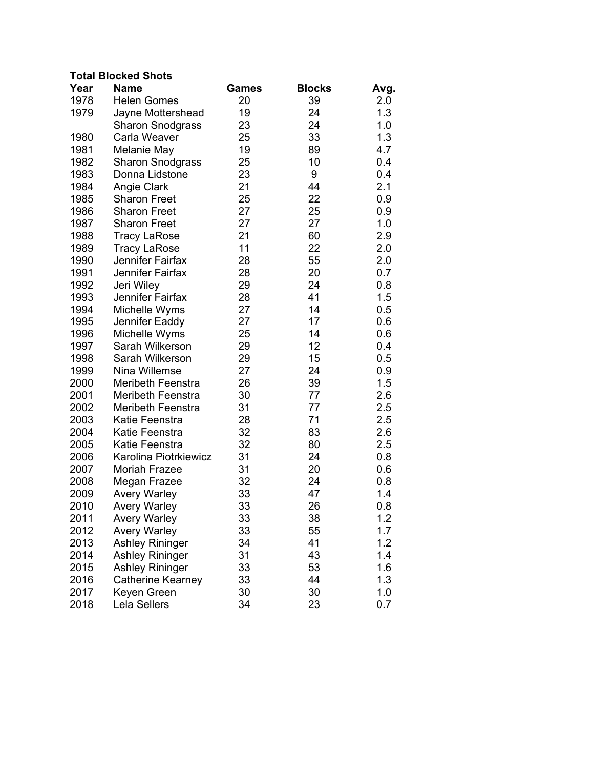## **Total Blocked Shots**

| Year | <b>Name</b>              | <b>Games</b> | <b>Blocks</b> | Avg. |
|------|--------------------------|--------------|---------------|------|
| 1978 | <b>Helen Gomes</b>       | 20           | 39            | 2.0  |
| 1979 | Jayne Mottershead        | 19           | 24            | 1.3  |
|      | <b>Sharon Snodgrass</b>  | 23           | 24            | 1.0  |
| 1980 | Carla Weaver             | 25           | 33            | 1.3  |
| 1981 | Melanie May              | 19           | 89            | 4.7  |
| 1982 | <b>Sharon Snodgrass</b>  | 25           | 10            | 0.4  |
| 1983 | Donna Lidstone           | 23           | 9             | 0.4  |
| 1984 | <b>Angie Clark</b>       | 21           | 44            | 2.1  |
| 1985 | <b>Sharon Freet</b>      | 25           | 22            | 0.9  |
| 1986 | <b>Sharon Freet</b>      | 27           | 25            | 0.9  |
| 1987 | <b>Sharon Freet</b>      | 27           | 27            | 1.0  |
| 1988 | <b>Tracy LaRose</b>      | 21           | 60            | 2.9  |
| 1989 | <b>Tracy LaRose</b>      | 11           | 22            | 2.0  |
| 1990 | Jennifer Fairfax         | 28           | 55            | 2.0  |
| 1991 | Jennifer Fairfax         | 28           | 20            | 0.7  |
| 1992 | Jeri Wiley               | 29           | 24            | 0.8  |
| 1993 | Jennifer Fairfax         | 28           | 41            | 1.5  |
| 1994 | Michelle Wyms            | 27           | 14            | 0.5  |
| 1995 | Jennifer Eaddy           | 27           | 17            | 0.6  |
| 1996 | Michelle Wyms            | 25           | 14            | 0.6  |
| 1997 | Sarah Wilkerson          | 29           | 12            | 0.4  |
| 1998 | Sarah Wilkerson          | 29           | 15            | 0.5  |
| 1999 | Nina Willemse            | 27           | 24            | 0.9  |
| 2000 | <b>Meribeth Feenstra</b> | 26           | 39            | 1.5  |
| 2001 | Meribeth Feenstra        | 30           | 77            | 2.6  |
| 2002 | Meribeth Feenstra        | 31           | 77            | 2.5  |
| 2003 | Katie Feenstra           | 28           | 71            | 2.5  |
| 2004 | Katie Feenstra           | 32           | 83            | 2.6  |
| 2005 | Katie Feenstra           | 32           | 80            | 2.5  |
| 2006 | Karolina Piotrkiewicz    | 31           | 24            | 0.8  |
| 2007 | <b>Moriah Frazee</b>     | 31           | 20            | 0.6  |
| 2008 | Megan Frazee             | 32           | 24            | 0.8  |
| 2009 | <b>Avery Warley</b>      | 33           | 47            | 1.4  |
| 2010 | <b>Avery Warley</b>      | 33           | 26            | 0.8  |
| 2011 | <b>Avery Warley</b>      | 33           | 38            | 1.2  |
| 2012 | <b>Avery Warley</b>      | 33           | 55            | 1.7  |
| 2013 | <b>Ashley Rininger</b>   | 34           | 41            | 1.2  |
| 2014 | <b>Ashley Rininger</b>   | 31           | 43            | 1.4  |
| 2015 | <b>Ashley Rininger</b>   | 33           | 53            | 1.6  |
| 2016 | <b>Catherine Kearney</b> | 33           | 44            | 1.3  |
| 2017 | Keyen Green              | 30           | 30            | 1.0  |
| 2018 | Lela Sellers             | 34           | 23            | 0.7  |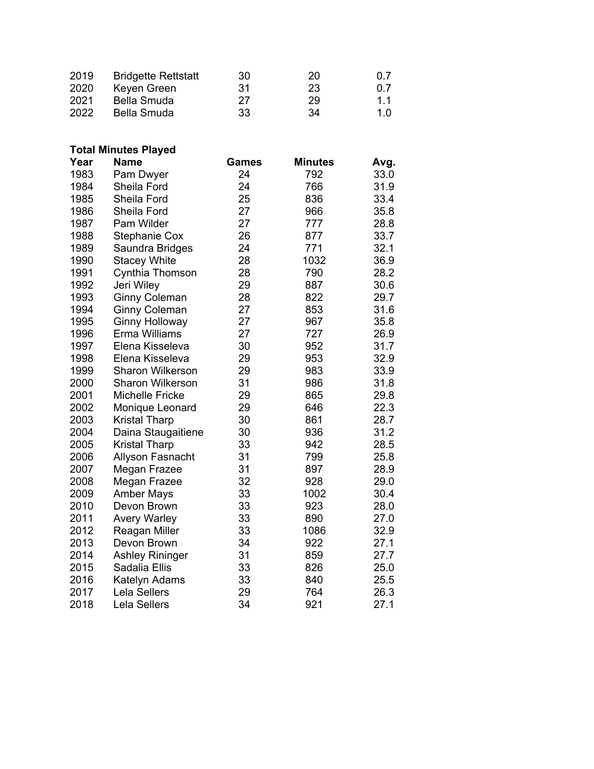| 2019 | <b>Bridgette Rettstatt</b> | 30  | 20 | 0.7 |
|------|----------------------------|-----|----|-----|
| 2020 | Keyen Green                | .31 | 23 | 0.7 |
| 2021 | Bella Smuda                | 27  | 29 | 11  |
| 2022 | Bella Smuda                | 33  | 34 | 10  |

| <b>Total Minutes Played</b> |  |
|-----------------------------|--|
|-----------------------------|--|

| Year | <b>Name</b>             | <b>Games</b> | <b>Minutes</b> | Avg. |
|------|-------------------------|--------------|----------------|------|
| 1983 | Pam Dwyer               | 24           | 792            | 33.0 |
| 1984 | Sheila Ford             | 24           | 766            | 31.9 |
| 1985 | Sheila Ford             | 25           | 836            | 33.4 |
| 1986 | Sheila Ford             | 27           | 966            | 35.8 |
| 1987 | Pam Wilder              | 27           | 777            | 28.8 |
| 1988 | <b>Stephanie Cox</b>    | 26           | 877            | 33.7 |
| 1989 | Saundra Bridges         | 24           | 771            | 32.1 |
| 1990 | <b>Stacey White</b>     | 28           | 1032           | 36.9 |
| 1991 | Cynthia Thomson         | 28           | 790            | 28.2 |
| 1992 | Jeri Wiley              | 29           | 887            | 30.6 |
| 1993 | <b>Ginny Coleman</b>    | 28           | 822            | 29.7 |
| 1994 | <b>Ginny Coleman</b>    | 27           | 853            | 31.6 |
| 1995 | <b>Ginny Holloway</b>   | 27           | 967            | 35.8 |
| 1996 | Erma Williams           | 27           | 727            | 26.9 |
| 1997 | Elena Kisseleva         | 30           | 952            | 31.7 |
| 1998 | Elena Kisseleva         | 29           | 953            | 32.9 |
| 1999 | <b>Sharon Wilkerson</b> | 29           | 983            | 33.9 |
| 2000 | <b>Sharon Wilkerson</b> | 31           | 986            | 31.8 |
| 2001 | <b>Michelle Fricke</b>  | 29           | 865            | 29.8 |
| 2002 | Monique Leonard         | 29           | 646            | 22.3 |
| 2003 | <b>Kristal Tharp</b>    | 30           | 861            | 28.7 |
| 2004 | Daina Staugaitiene      | 30           | 936            | 31.2 |
| 2005 | <b>Kristal Tharp</b>    | 33           | 942            | 28.5 |
| 2006 | Allyson Fasnacht        | 31           | 799            | 25.8 |
| 2007 | Megan Frazee            | 31           | 897            | 28.9 |
| 2008 | Megan Frazee            | 32           | 928            | 29.0 |
| 2009 | <b>Amber Mays</b>       | 33           | 1002           | 30.4 |
| 2010 | Devon Brown             | 33           | 923            | 28.0 |
| 2011 | <b>Avery Warley</b>     | 33           | 890            | 27.0 |
| 2012 | Reagan Miller           | 33           | 1086           | 32.9 |
| 2013 | Devon Brown             | 34           | 922            | 27.1 |
| 2014 | <b>Ashley Rininger</b>  | 31           | 859            | 27.7 |
| 2015 | Sadalia Ellis           | 33           | 826            | 25.0 |
| 2016 | Katelyn Adams           | 33           | 840            | 25.5 |
| 2017 | Lela Sellers            | 29           | 764            | 26.3 |
| 2018 | Lela Sellers            | 34           | 921            | 27.1 |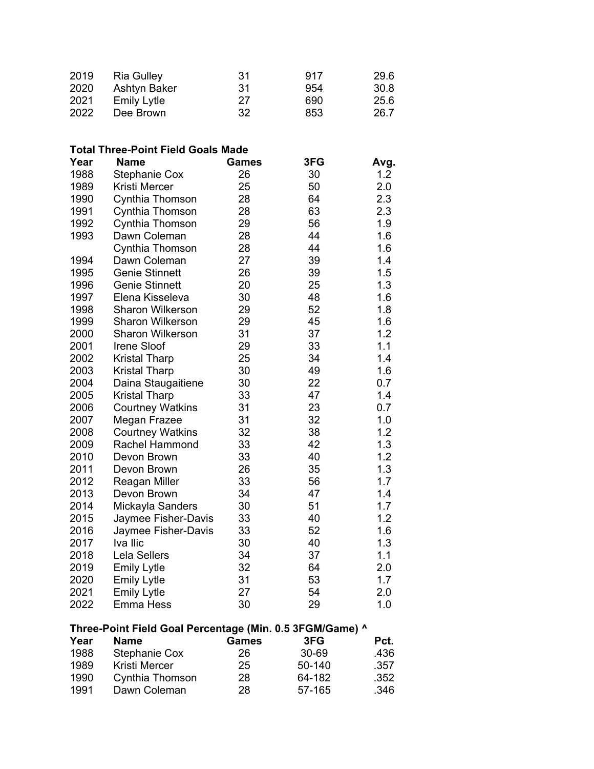| 2019 | <b>Ria Gulley</b>  | -31 | 917 | 29.6 |
|------|--------------------|-----|-----|------|
| 2020 | Ashtyn Baker       | -31 | 954 | 30.8 |
| 2021 | <b>Emily Lytle</b> | 27  | 690 | 25.6 |
| 2022 | Dee Brown          | -32 | 853 | 26.7 |

| <b>Total Three-Point Field Goals Made</b>                |                         |              |        |      |  |  |  |
|----------------------------------------------------------|-------------------------|--------------|--------|------|--|--|--|
| Year                                                     | <b>Name</b>             | <b>Games</b> | 3FG    | Avg. |  |  |  |
| 1988                                                     | <b>Stephanie Cox</b>    | 26           | 30     | 1.2  |  |  |  |
| 1989                                                     | Kristi Mercer           | 25           | 50     | 2.0  |  |  |  |
| 1990                                                     | Cynthia Thomson         | 28           | 64     | 2.3  |  |  |  |
| 1991                                                     | Cynthia Thomson         | 28           | 63     | 2.3  |  |  |  |
| 1992                                                     | Cynthia Thomson         | 29           | 56     | 1.9  |  |  |  |
| 1993                                                     | Dawn Coleman            | 28           | 44     | 1.6  |  |  |  |
|                                                          | Cynthia Thomson         | 28           | 44     | 1.6  |  |  |  |
| 1994                                                     | Dawn Coleman            | 27           | 39     | 1.4  |  |  |  |
| 1995                                                     | <b>Genie Stinnett</b>   | 26           | 39     | 1.5  |  |  |  |
| 1996                                                     | <b>Genie Stinnett</b>   | 20           | 25     | 1.3  |  |  |  |
| 1997                                                     | Elena Kisseleva         | 30           | 48     | 1.6  |  |  |  |
| 1998                                                     | <b>Sharon Wilkerson</b> | 29           | 52     | 1.8  |  |  |  |
| 1999                                                     | <b>Sharon Wilkerson</b> | 29           | 45     | 1.6  |  |  |  |
| 2000                                                     | <b>Sharon Wilkerson</b> | 31           | 37     | 1.2  |  |  |  |
| 2001                                                     | Irene Sloof             | 29           | 33     | 1.1  |  |  |  |
| 2002                                                     | <b>Kristal Tharp</b>    | 25           | 34     | 1.4  |  |  |  |
| 2003                                                     | <b>Kristal Tharp</b>    | 30           | 49     | 1.6  |  |  |  |
| 2004                                                     | Daina Staugaitiene      | 30           | 22     | 0.7  |  |  |  |
| 2005                                                     | <b>Kristal Tharp</b>    | 33           | 47     | 1.4  |  |  |  |
| 2006                                                     | <b>Courtney Watkins</b> | 31           | 23     | 0.7  |  |  |  |
| 2007                                                     | Megan Frazee            | 31           | 32     | 1.0  |  |  |  |
| 2008                                                     | <b>Courtney Watkins</b> | 32           | 38     | 1.2  |  |  |  |
| 2009                                                     | Rachel Hammond          | 33           | 42     | 1.3  |  |  |  |
| 2010                                                     | Devon Brown             | 33           | 40     | 1.2  |  |  |  |
| 2011                                                     | Devon Brown             | 26           | 35     | 1.3  |  |  |  |
| 2012                                                     | Reagan Miller           | 33           | 56     | 1.7  |  |  |  |
| 2013                                                     | Devon Brown             | 34           | 47     | 1.4  |  |  |  |
| 2014                                                     | Mickayla Sanders        | 30           | 51     | 1.7  |  |  |  |
| 2015                                                     | Jaymee Fisher-Davis     | 33           | 40     | 1.2  |  |  |  |
| 2016                                                     | Jaymee Fisher-Davis     | 33           | 52     | 1.6  |  |  |  |
| 2017                                                     | Iva Ilic                | 30           | 40     | 1.3  |  |  |  |
| 2018                                                     | Lela Sellers            | 34           | 37     | 1.1  |  |  |  |
| 2019                                                     | <b>Emily Lytle</b>      | 32           | 64     | 2.0  |  |  |  |
| 2020                                                     | <b>Emily Lytle</b>      | 31           | 53     | 1.7  |  |  |  |
| 2021                                                     | <b>Emily Lytle</b>      | 27           | 54     | 2.0  |  |  |  |
| 2022                                                     | <b>Emma Hess</b>        | 30           | 29     | 1.0  |  |  |  |
| Three-Point Field Goal Percentage (Min. 0.5 3FGM/Game) ^ |                         |              |        |      |  |  |  |
| Year                                                     | <b>Name</b>             | <b>Games</b> | 3FG    | Pct. |  |  |  |
| 1988                                                     | <b>Stephanie Cox</b>    | 26           | 30-69  | .436 |  |  |  |
| 1989                                                     | Kristi Mercer           | 25           | 50-140 | .357 |  |  |  |

1990 Cynthia Thomson 28 64-182 .352 1991 Dawn Coleman 28 57-165 .346